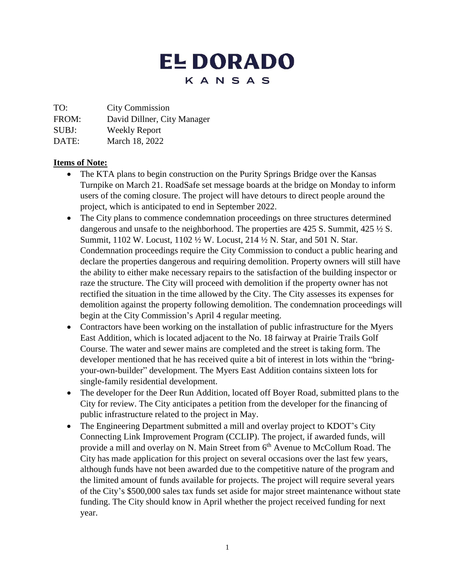# **EL DORADO** KANSAS

TO: City Commission

FROM: David Dillner, City Manager

SUBJ: Weekly Report

DATE: March 18, 2022

## **Items of Note:**

- The KTA plans to begin construction on the Purity Springs Bridge over the Kansas Turnpike on March 21. RoadSafe set message boards at the bridge on Monday to inform users of the coming closure. The project will have detours to direct people around the project, which is anticipated to end in September 2022.
- The City plans to commence condemnation proceedings on three structures determined dangerous and unsafe to the neighborhood. The properties are 425 S. Summit, 425  $\frac{1}{2}$  S. Summit, 1102 W. Locust, 1102 ½ W. Locust, 214 ½ N. Star, and 501 N. Star. Condemnation proceedings require the City Commission to conduct a public hearing and declare the properties dangerous and requiring demolition. Property owners will still have the ability to either make necessary repairs to the satisfaction of the building inspector or raze the structure. The City will proceed with demolition if the property owner has not rectified the situation in the time allowed by the City. The City assesses its expenses for demolition against the property following demolition. The condemnation proceedings will begin at the City Commission's April 4 regular meeting.
- Contractors have been working on the installation of public infrastructure for the Myers East Addition, which is located adjacent to the No. 18 fairway at Prairie Trails Golf Course. The water and sewer mains are completed and the street is taking form. The developer mentioned that he has received quite a bit of interest in lots within the "bringyour-own-builder" development. The Myers East Addition contains sixteen lots for single-family residential development.
- The developer for the Deer Run Addition, located off Boyer Road, submitted plans to the City for review. The City anticipates a petition from the developer for the financing of public infrastructure related to the project in May.
- The Engineering Department submitted a mill and overlay project to KDOT's City Connecting Link Improvement Program (CCLIP). The project, if awarded funds, will provide a mill and overlay on N. Main Street from 6<sup>th</sup> Avenue to McCollum Road. The City has made application for this project on several occasions over the last few years, although funds have not been awarded due to the competitive nature of the program and the limited amount of funds available for projects. The project will require several years of the City's \$500,000 sales tax funds set aside for major street maintenance without state funding. The City should know in April whether the project received funding for next year.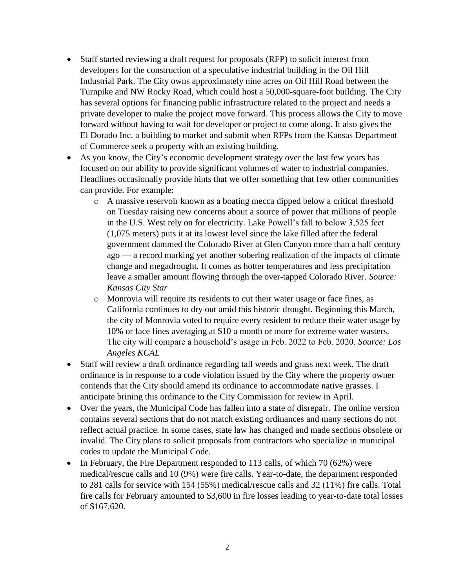- Staff started reviewing a draft request for proposals (RFP) to solicit interest from developers for the construction of a speculative industrial building in the Oil Hill Industrial Park. The City owns approximately nine acres on Oil Hill Road between the Turnpike and NW Rocky Road, which could host a 50,000-square-foot building. The City has several options for financing public infrastructure related to the project and needs a private developer to make the project move forward. This process allows the City to move forward without having to wait for developer or project to come along. It also gives the El Dorado Inc. a building to market and submit when RFPs from the Kansas Department of Commerce seek a property with an existing building.
- As you know, the City's economic development strategy over the last few years has focused on our ability to provide significant volumes of water to industrial companies. Headlines occasionally provide hints that we offer something that few other communities can provide. For example:
	- o A massive reservoir known as a boating mecca dipped below a critical threshold on Tuesday raising new concerns about a source of power that millions of people in the U.S. West rely on for electricity. Lake Powell's fall to below 3,525 feet (1,075 meters) puts it at its lowest level since the lake filled after the federal government dammed the Colorado River at Glen Canyon more than a half century ago — a record marking yet another sobering realization of the impacts of climate change and megadrought. It comes as hotter temperatures and less precipitation leave a smaller amount flowing through the over-tapped Colorado River. *Source: Kansas City Star*
	- o Monrovia will require its residents to cut their water usage or face fines, as California continues to dry out amid this historic drought. Beginning this March, the city of Monrovia voted to require every resident to reduce their water usage by 10% or face fines averaging at \$10 a month or more for extreme water wasters. The city will compare a household's usage in Feb. 2022 to Feb. 2020. *Source: Los Angeles KCAL*
- Staff will review a draft ordinance regarding tall weeds and grass next week. The draft ordinance is in response to a code violation issued by the City where the property owner contends that the City should amend its ordinance to accommodate native grasses. I anticipate brining this ordinance to the City Commission for review in April.
- Over the years, the Municipal Code has fallen into a state of disrepair. The online version contains several sections that do not match existing ordinances and many sections do not reflect actual practice. In some cases, state law has changed and made sections obsolete or invalid. The City plans to solicit proposals from contractors who specialize in municipal codes to update the Municipal Code.
- In February, the Fire Department responded to 113 calls, of which 70 (62%) were medical/rescue calls and 10 (9%) were fire calls. Year-to-date, the department responded to 281 calls for service with 154 (55%) medical/rescue calls and 32 (11%) fire calls. Total fire calls for February amounted to \$3,600 in fire losses leading to year-to-date total losses of \$167,620.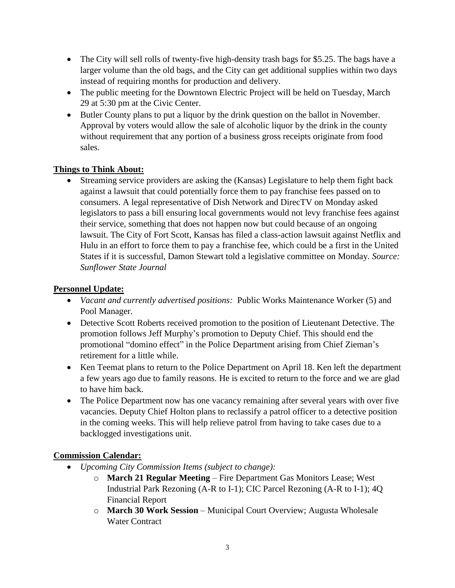- The City will sell rolls of twenty-five high-density trash bags for \$5.25. The bags have a larger volume than the old bags, and the City can get additional supplies within two days instead of requiring months for production and delivery.
- The public meeting for the Downtown Electric Project will be held on Tuesday, March 29 at 5:30 pm at the Civic Center.
- Butler County plans to put a liquor by the drink question on the ballot in November. Approval by voters would allow the sale of alcoholic liquor by the drink in the county without requirement that any portion of a business gross receipts originate from food sales.

## **Things to Think About:**

 Streaming service providers are asking the (Kansas) Legislature to help them fight back against a lawsuit that could potentially force them to pay franchise fees passed on to consumers. A legal representative of Dish Network and DirecTV on Monday asked legislators to pass a bill ensuring local governments would not levy franchise fees against their service, something that does not happen now but could because of an ongoing lawsuit. The City of Fort Scott, Kansas has filed a class-action lawsuit against Netflix and Hulu in an effort to force them to pay a franchise fee, which could be a first in the United States if it is successful, Damon Stewart told a legislative committee on Monday. *Source: Sunflower State Journal*

#### **Personnel Update:**

- *Vacant and currently advertised positions:* Public Works Maintenance Worker (5) and Pool Manager.
- Detective Scott Roberts received promotion to the position of Lieutenant Detective. The promotion follows Jeff Murphy's promotion to Deputy Chief. This should end the promotional "domino effect" in the Police Department arising from Chief Zieman's retirement for a little while.
- Ken Teemat plans to return to the Police Department on April 18. Ken left the department a few years ago due to family reasons. He is excited to return to the force and we are glad to have him back.
- The Police Department now has one vacancy remaining after several years with over five vacancies. Deputy Chief Holton plans to reclassify a patrol officer to a detective position in the coming weeks. This will help relieve patrol from having to take cases due to a backlogged investigations unit.

### **Commission Calendar:**

- *Upcoming City Commission Items (subject to change):*
	- o **March 21 Regular Meeting**  Fire Department Gas Monitors Lease; West Industrial Park Rezoning (A-R to I-1); CIC Parcel Rezoning (A-R to I-1); 4Q Financial Report
	- o **March 30 Work Session**  Municipal Court Overview; Augusta Wholesale Water Contract